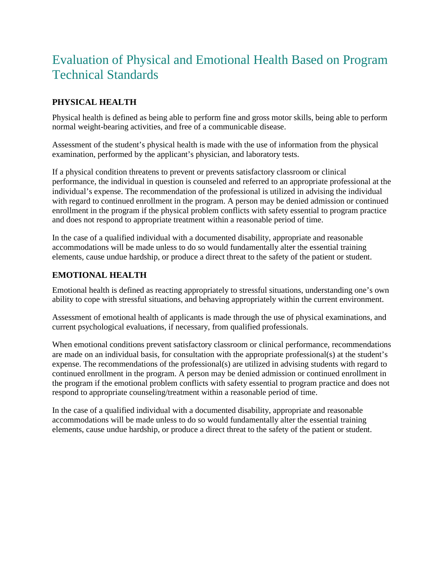## Evaluation of Physical and Emotional Health Based on Program Technical Standards

## **PHYSICAL HEALTH**

Physical health is defined as being able to perform fine and gross motor skills, being able to perform normal weight-bearing activities, and free of a communicable disease.

Assessment of the student's physical health is made with the use of information from the physical examination, performed by the applicant's physician, and laboratory tests.

If a physical condition threatens to prevent or prevents satisfactory classroom or clinical performance, the individual in question is counseled and referred to an appropriate professional at the individual's expense. The recommendation of the professional is utilized in advising the individual with regard to continued enrollment in the program. A person may be denied admission or continued enrollment in the program if the physical problem conflicts with safety essential to program practice and does not respond to appropriate treatment within a reasonable period of time.

In the case of a qualified individual with a documented disability, appropriate and reasonable accommodations will be made unless to do so would fundamentally alter the essential training elements, cause undue hardship, or produce a direct threat to the safety of the patient or student.

## **EMOTIONAL HEALTH**

Emotional health is defined as reacting appropriately to stressful situations, understanding one's own ability to cope with stressful situations, and behaving appropriately within the current environment.

Assessment of emotional health of applicants is made through the use of physical examinations, and current psychological evaluations, if necessary, from qualified professionals.

When emotional conditions prevent satisfactory classroom or clinical performance, recommendations are made on an individual basis, for consultation with the appropriate professional(s) at the student's expense. The recommendations of the professional(s) are utilized in advising students with regard to continued enrollment in the program. A person may be denied admission or continued enrollment in the program if the emotional problem conflicts with safety essential to program practice and does not respond to appropriate counseling/treatment within a reasonable period of time.

In the case of a qualified individual with a documented disability, appropriate and reasonable accommodations will be made unless to do so would fundamentally alter the essential training elements, cause undue hardship, or produce a direct threat to the safety of the patient or student.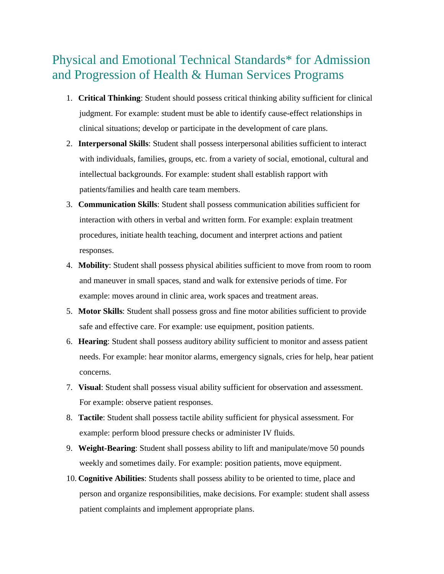## Physical and Emotional Technical Standards\* for Admission and Progression of Health & Human Services Programs

- 1. **Critical Thinking**: Student should possess critical thinking ability sufficient for clinical judgment. For example: student must be able to identify cause-effect relationships in clinical situations; develop or participate in the development of care plans.
- 2. **Interpersonal Skills**: Student shall possess interpersonal abilities sufficient to interact with individuals, families, groups, etc. from a variety of social, emotional, cultural and intellectual backgrounds. For example: student shall establish rapport with patients/families and health care team members.
- 3. **Communication Skills**: Student shall possess communication abilities sufficient for interaction with others in verbal and written form. For example: explain treatment procedures, initiate health teaching, document and interpret actions and patient responses.
- 4. **Mobility**: Student shall possess physical abilities sufficient to move from room to room and maneuver in small spaces, stand and walk for extensive periods of time. For example: moves around in clinic area, work spaces and treatment areas.
- 5. **Motor Skills**: Student shall possess gross and fine motor abilities sufficient to provide safe and effective care. For example: use equipment, position patients.
- 6. **Hearing**: Student shall possess auditory ability sufficient to monitor and assess patient needs. For example: hear monitor alarms, emergency signals, cries for help, hear patient concerns.
- 7. **Visual**: Student shall possess visual ability sufficient for observation and assessment. For example: observe patient responses.
- 8. **Tactile**: Student shall possess tactile ability sufficient for physical assessment. For example: perform blood pressure checks or administer IV fluids.
- 9. **Weight-Bearing**: Student shall possess ability to lift and manipulate/move 50 pounds weekly and sometimes daily. For example: position patients, move equipment.
- 10. **Cognitive Abilities**: Students shall possess ability to be oriented to time, place and person and organize responsibilities, make decisions. For example: student shall assess patient complaints and implement appropriate plans.